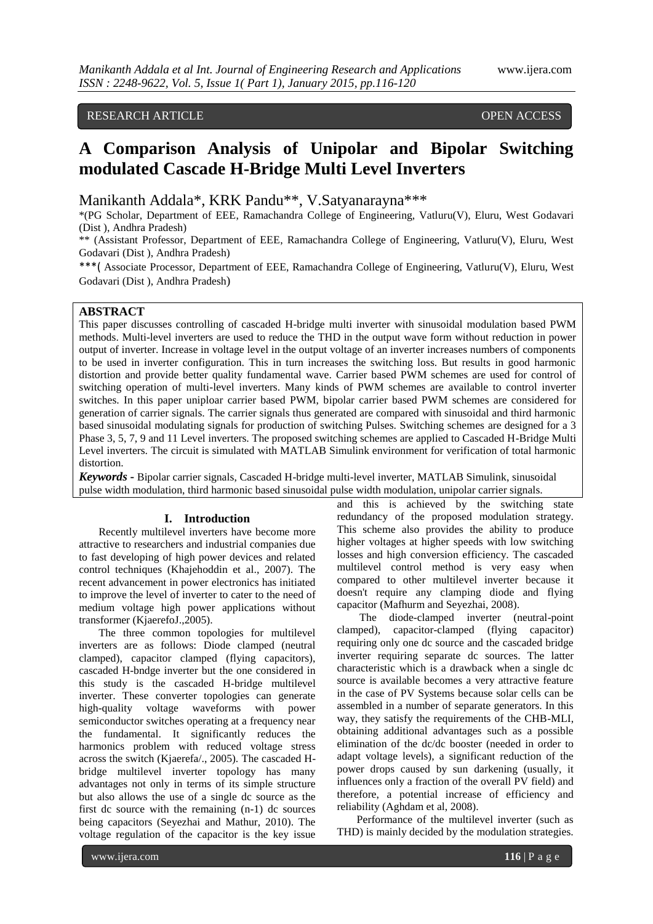## RESEARCH ARTICLE OPEN ACCESS

# **A Comparison Analysis of Unipolar and Bipolar Switching modulated Cascade H-Bridge Multi Level Inverters**

Manikanth Addala\*, KRK Pandu\*\*, V.Satyanarayna\*\*\*

\*(PG Scholar, Department of EEE, Ramachandra College of Engineering, Vatluru(V), Eluru, West Godavari (Dist ), Andhra Pradesh)

\*\* (Assistant Professor, Department of EEE, Ramachandra College of Engineering, Vatluru(V), Eluru, West Godavari (Dist ), Andhra Pradesh)

\*\*\*( Associate Processor, Department of EEE, Ramachandra College of Engineering, Vatluru(V), Eluru, West Godavari (Dist ), Andhra Pradesh)

## **ABSTRACT**

This paper discusses controlling of cascaded H-bridge multi inverter with sinusoidal modulation based PWM methods. Multi-level inverters are used to reduce the THD in the output wave form without reduction in power output of inverter. Increase in voltage level in the output voltage of an inverter increases numbers of components to be used in inverter configuration. This in turn increases the switching loss. But results in good harmonic distortion and provide better quality fundamental wave. Carrier based PWM schemes are used for control of switching operation of multi-level inverters. Many kinds of PWM schemes are available to control inverter switches. In this paper uniploar carrier based PWM, bipolar carrier based PWM schemes are considered for generation of carrier signals. The carrier signals thus generated are compared with sinusoidal and third harmonic based sinusoidal modulating signals for production of switching Pulses. Switching schemes are designed for a 3 Phase 3, 5, 7, 9 and 11 Level inverters. The proposed switching schemes are applied to Cascaded H-Bridge Multi Level inverters. The circuit is simulated with MATLAB Simulink environment for verification of total harmonic distortion.

*Keywords* **-** Bipolar carrier signals, Cascaded H-bridge multi-level inverter, MATLAB Simulink, sinusoidal pulse width modulation, third harmonic based sinusoidal pulse width modulation, unipolar carrier signals.

#### **I. Introduction**

Recently multilevel inverters have become more attractive to researchers and industrial companies due to fast developing of high power devices and related control techniques (Khajehoddin et al., 2007). The recent advancement in power electronics has initiated to improve the level of inverter to cater to the need of medium voltage high power applications without transformer (KjaerefoJ.,2005).

The three common topologies for multilevel inverters are as follows: Diode clamped (neutral clamped), capacitor clamped (flying capacitors), cascaded H-bndge inverter but the one considered in this study is the cascaded H-bridge multilevel inverter. These converter topologies can generate high-quality voltage waveforms with power semiconductor switches operating at a frequency near the fundamental. It significantly reduces the harmonics problem with reduced voltage stress across the switch (Kjaerefa/., 2005). The cascaded Hbridge multilevel inverter topology has many advantages not only in terms of its simple structure but also allows the use of a single dc source as the first dc source with the remaining (n-1) dc sources being capacitors (Seyezhai and Mathur, 2010). The voltage regulation of the capacitor is the key issue

and this is achieved by the switching state redundancy of the proposed modulation strategy. This scheme also provides the ability to produce higher voltages at higher speeds with low switching losses and high conversion efficiency. The cascaded multilevel control method is very easy when compared to other multilevel inverter because it doesn't require any clamping diode and flying capacitor (Mafhurm and Seyezhai, 2008).

The diode-clamped inverter (neutral-point clamped), capacitor-clamped (flying capacitor) requiring only one dc source and the cascaded bridge inverter requiring separate dc sources. The latter characteristic which is a drawback when a single dc source is available becomes a very attractive feature in the case of PV Systems because solar cells can be assembled in a number of separate generators. In this way, they satisfy the requirements of the CHB-MLI, obtaining additional advantages such as a possible elimination of the dc/dc booster (needed in order to adapt voltage levels), a significant reduction of the power drops caused by sun darkening (usually, it influences only a fraction of the overall PV field) and therefore, a potential increase of efficiency and reliability (Aghdam et al, 2008).

Performance of the multilevel inverter (such as THD) is mainly decided by the modulation strategies.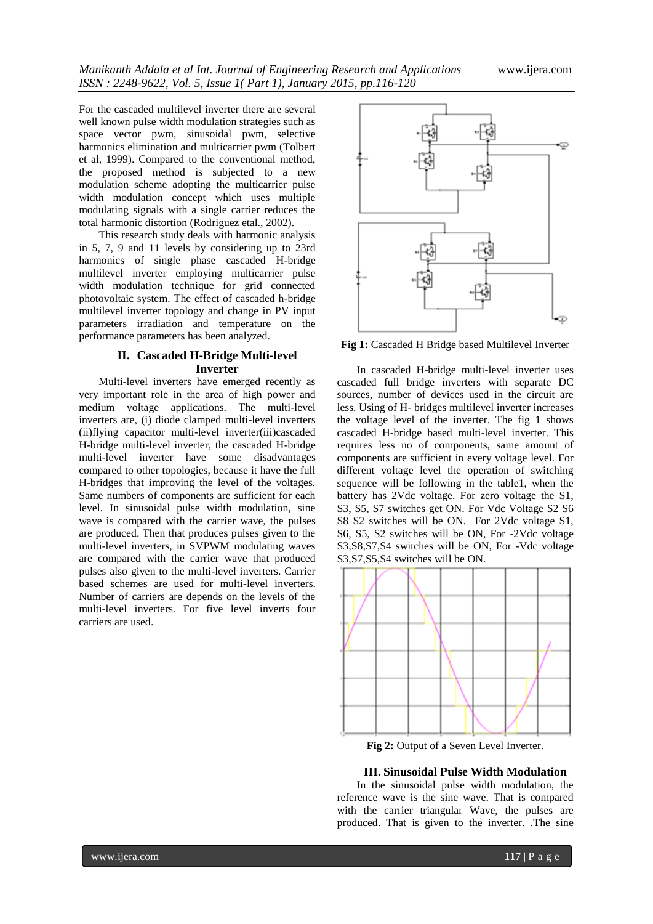For the cascaded multilevel inverter there are several well known pulse width modulation strategies such as space vector pwm, sinusoidal pwm, selective harmonics elimination and multicarrier pwm (Tolbert et al, 1999). Compared to the conventional method, the proposed method is subjected to a new modulation scheme adopting the multicarrier pulse width modulation concept which uses multiple modulating signals with a single carrier reduces the total harmonic distortion (Rodriguez etal., 2002).

This research study deals with harmonic analysis in 5, 7, 9 and 11 levels by considering up to 23rd harmonics of single phase cascaded H-bridge multilevel inverter employing multicarrier pulse width modulation technique for grid connected photovoltaic system. The effect of cascaded h-bridge multilevel inverter topology and change in PV input parameters irradiation and temperature on the performance parameters has been analyzed.

### **II. Cascaded H-Bridge Multi-level Inverter**

Multi-level inverters have emerged recently as very important role in the area of high power and medium voltage applications. The multi-level inverters are, (i) diode clamped multi-level inverters (ii)flying capacitor multi-level inverter(iii)cascaded H-bridge multi-level inverter, the cascaded H-bridge multi-level inverter have some disadvantages compared to other topologies, because it have the full H-bridges that improving the level of the voltages. Same numbers of components are sufficient for each level. In sinusoidal pulse width modulation, sine wave is compared with the carrier wave, the pulses are produced. Then that produces pulses given to the multi-level inverters, in SVPWM modulating waves are compared with the carrier wave that produced pulses also given to the multi-level inverters. Carrier based schemes are used for multi-level inverters. Number of carriers are depends on the levels of the multi-level inverters. For five level inverts four carriers are used.



**Fig 1:** Cascaded H Bridge based Multilevel Inverter

In cascaded H-bridge multi-level inverter uses cascaded full bridge inverters with separate DC sources, number of devices used in the circuit are less. Using of H- bridges multilevel inverter increases the voltage level of the inverter. The fig 1 shows cascaded H-bridge based multi-level inverter. This requires less no of components, same amount of components are sufficient in every voltage level. For different voltage level the operation of switching sequence will be following in the table1, when the battery has 2Vdc voltage. For zero voltage the S1, S3, S5, S7 switches get ON. For Vdc Voltage S2 S6 S8 S2 switches will be ON. For 2Vdc voltage S1, S6, S5, S2 switches will be ON, For -2Vdc voltage S3,S8,S7,S4 switches will be ON, For -Vdc voltage S3,S7,S5,S4 switches will be ON.



**Fig 2:** Output of a Seven Level Inverter.

#### **III. Sinusoidal Pulse Width Modulation**

In the sinusoidal pulse width modulation, the reference wave is the sine wave. That is compared with the carrier triangular Wave, the pulses are produced. That is given to the inverter. .The sine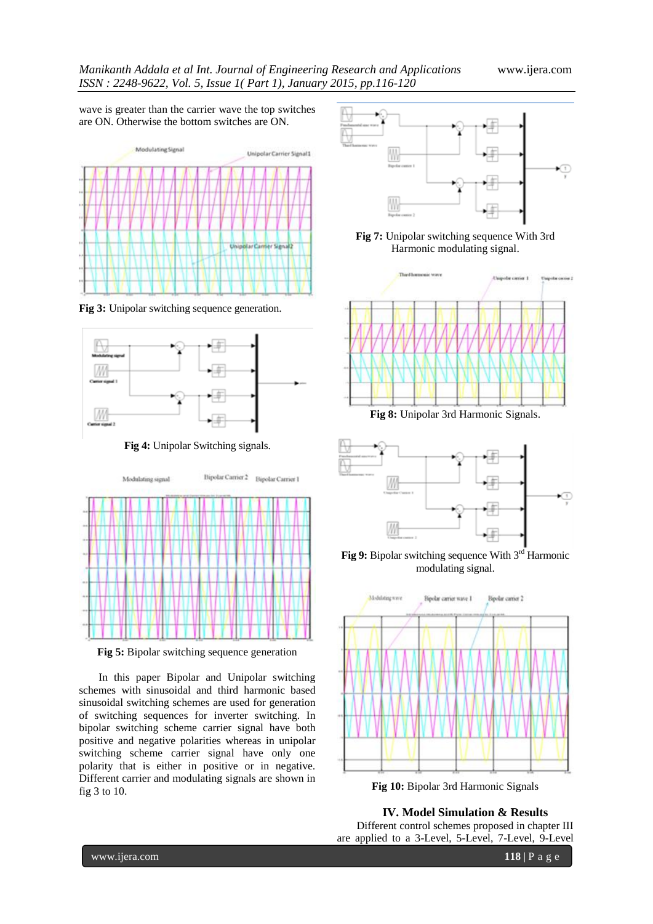wave is greater than the carrier wave the top switches are ON. Otherwise the bottom switches are ON.



**Fig 3:** Unipolar switching sequence generation.



**Fig 4:** Unipolar Switching signals.



**Fig 5:** Bipolar switching sequence generation

In this paper Bipolar and Unipolar switching schemes with sinusoidal and third harmonic based sinusoidal switching schemes are used for generation of switching sequences for inverter switching. In bipolar switching scheme carrier signal have both positive and negative polarities whereas in unipolar switching scheme carrier signal have only one polarity that is either in positive or in negative. Different carrier and modulating signals are shown in fig 3 to 10.



**Fig 7:** Unipolar switching sequence With 3rd Harmonic modulating signal.



**Fig 8:** Unipolar 3rd Harmonic Signals.



**Fig 9:** Bipolar switching sequence With 3<sup>rd</sup> Harmonic modulating signal.



**Fig 10:** Bipolar 3rd Harmonic Signals

**IV. Model Simulation & Results**

Different control schemes proposed in chapter III are applied to a 3-Level, 5-Level, 7-Level, 9-Level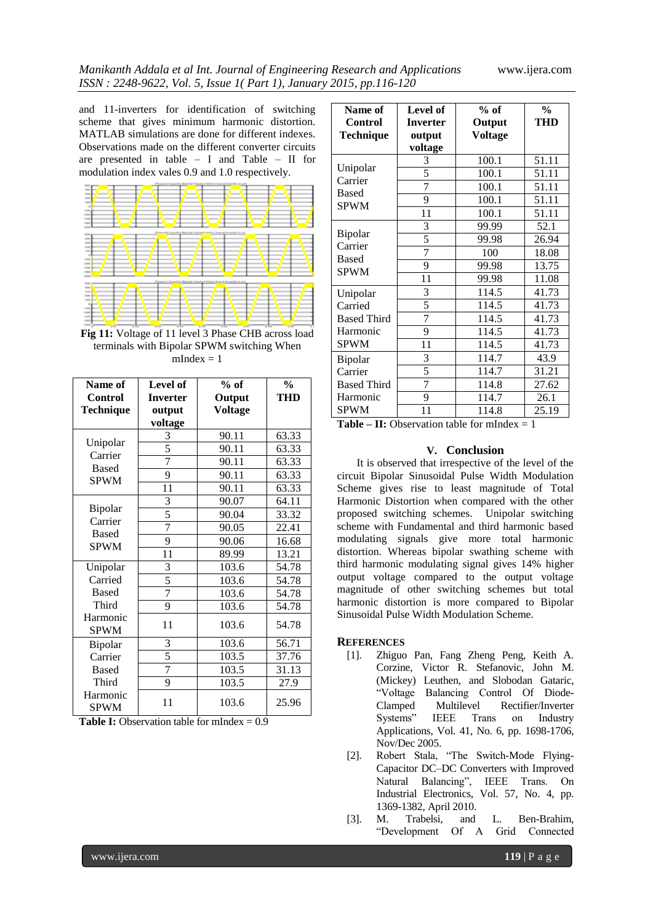and 11-inverters for identification of switching scheme that gives minimum harmonic distortion. MATLAB simulations are done for different indexes. Observations made on the different converter circuits are presented in table – I and Table – II for modulation index vales 0.9 and 1.0 respectively.



**Fig 11:** Voltage of 11 level 3 Phase CHB across load terminals with Bipolar SPWM switching When  $mIndex = 1$ 

| Name of                                      | Level of        | $%$ of         | $\frac{0}{0}$ |
|----------------------------------------------|-----------------|----------------|---------------|
| Control                                      | <b>Inverter</b> | Output         | <b>THD</b>    |
| Technique                                    | output          | <b>Voltage</b> |               |
|                                              | voltage         |                |               |
|                                              | 3               | 90.11          | 63.33         |
| Unipolar<br>Carrier                          | $\overline{5}$  | 90.11          | 63.33         |
| <b>Based</b>                                 | $\overline{7}$  | 90.11          | 63.33         |
| <b>SPWM</b>                                  | 9               | 90.11          | 63.33         |
|                                              | 11              | 90.11          | 63.33         |
|                                              | 3               | 90.07          | 64.11         |
| Bipolar                                      | 5               | 90.04          | 33.32         |
| Carrier<br><b>Based</b>                      | 7               | 90.05          | 22.41         |
| <b>SPWM</b>                                  | 9               | 90.06          | 16.68         |
|                                              | 11              | 89.99          | 13.21         |
| Unipolar<br>Carried<br><b>Based</b><br>Third | 3               | 103.6          | 54.78         |
|                                              | 5               | 103.6          | 54.78         |
|                                              | $\overline{7}$  | 103.6          | 54.78         |
|                                              | 9               | 103.6          | 54.78         |
| Harmonic<br><b>SPWM</b>                      | 11              | 103.6          | 54.78         |
| Bipolar                                      | 3               | 103.6          | 56.71         |
| Carrier                                      | 5               | 103.5          | 37.76         |
| <b>Based</b>                                 | 7               | 103.5          | 31.13         |
| Third                                        | 9               | 103.5          | 27.9          |
| Harmonic<br><b>SPWM</b>                      | 11              | 103.6          | 25.96         |

|  | <b>Table I:</b> Observation table for mIndex $= 0.9$ |  |  |  |
|--|------------------------------------------------------|--|--|--|
|--|------------------------------------------------------|--|--|--|

| Name of<br>Control<br><b>Technique</b>             | <b>Level of</b><br><b>Inverter</b><br>output<br>voltage | $%$ of<br>Output<br>Voltage | $\frac{0}{0}$<br><b>THD</b> |
|----------------------------------------------------|---------------------------------------------------------|-----------------------------|-----------------------------|
| Unipolar<br>Carrier<br><b>Based</b><br><b>SPWM</b> | 3                                                       | 100.1                       | 51.11                       |
|                                                    | 5                                                       | 100.1                       | 51.11                       |
|                                                    | 7                                                       | 100.1                       | 51.11                       |
|                                                    | 9                                                       | 100.1                       | 51.11                       |
|                                                    | 11                                                      | 100.1                       | 51.11                       |
| Bipolar<br>Carrier<br><b>Based</b><br><b>SPWM</b>  | 3                                                       | 99.99                       | 52.1                        |
|                                                    | 5                                                       | 99.98                       | 26.94                       |
|                                                    | 7                                                       | 100                         | 18.08                       |
|                                                    | 9                                                       | 99.98                       | 13.75                       |
|                                                    | 11                                                      | 99.98                       | 11.08                       |
| Unipolar<br>Carried<br><b>Based Third</b>          | 3                                                       | 114.5                       | 41.73                       |
|                                                    | $\overline{5}$                                          | 114.5                       | 41.73                       |
|                                                    | 7                                                       | 114.5                       | 41.73                       |
| Harmonic                                           | 9                                                       | 114.5                       | 41.73                       |
| <b>SPWM</b>                                        | 11                                                      | 114.5                       | 41.73                       |
| Bipolar<br>Carrier<br><b>Based Third</b>           | 3                                                       | 114.7                       | 43.9                        |
|                                                    | 5                                                       | 114.7                       | 31.21                       |
|                                                    | 7                                                       | 114.8                       | 27.62                       |
| Harmonic                                           | 9                                                       | 114.7                       | 26.1                        |
| <b>SPWM</b>                                        | 11                                                      | 114.8                       | 25.19                       |

**Table – II:** Observation table for mIndex  $= 1$ 

#### **V. Conclusion**

It is observed that irrespective of the level of the circuit Bipolar Sinusoidal Pulse Width Modulation Scheme gives rise to least magnitude of Total Harmonic Distortion when compared with the other proposed switching schemes. Unipolar switching scheme with Fundamental and third harmonic based modulating signals give more total harmonic distortion. Whereas bipolar swathing scheme with third harmonic modulating signal gives 14% higher output voltage compared to the output voltage magnitude of other switching schemes but total harmonic distortion is more compared to Bipolar Sinusoidal Pulse Width Modulation Scheme.

#### **REFERENCES**

- [1]. Zhiguo Pan, Fang Zheng Peng, Keith A. Corzine, Victor R. Stefanovic, John M. (Mickey) Leuthen, and Slobodan Gataric, "Voltage Balancing Control Of Diode-Clamped Multilevel Rectifier/Inverter IEEE Trans on Industry Applications, Vol. 41, No. 6, pp. 1698-1706, Nov/Dec 2005.
- [2]. Robert Stala, "The Switch-Mode Flying-Capacitor DC–DC Converters with Improved Natural Balancing", IEEE Trans. On Industrial Electronics, Vol. 57, No. 4, pp. 1369-1382, April 2010.
- [3]. M. Trabelsi, and L. Ben-Brahim, "Development Of A Grid Connected